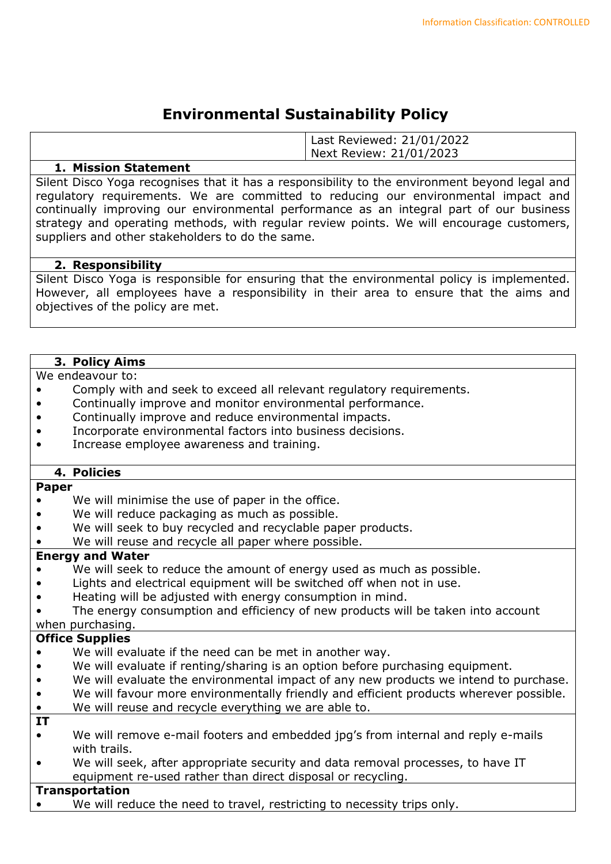## **Environmental Sustainability Policy**

|                 | Last Reviewed: 21/01/2022<br>Next Review: 21/01/2023 |
|-----------------|------------------------------------------------------|
| ----<br>$- - -$ |                                                      |

#### **1. Mission Statement**

Silent Disco Yoga recognises that it has a responsibility to the environment beyond legal and regulatory requirements. We are committed to reducing our environmental impact and continually improving our environmental performance as an integral part of our business strategy and operating methods, with regular review points. We will encourage customers, suppliers and other stakeholders to do the same.

### **2. Responsibility**

Silent Disco Yoga is responsible for ensuring that the environmental policy is implemented. However, all employees have a responsibility in their area to ensure that the aims and objectives of the policy are met.

### **3. Policy Aims**

We endeavour to:

- Comply with and seek to exceed all relevant regulatory requirements.
- Continually improve and monitor environmental performance.
- Continually improve and reduce environmental impacts.
- Incorporate environmental factors into business decisions.
- Increase employee awareness and training.

## **4. Policies**

#### **Paper**

- We will minimise the use of paper in the office.
- We will reduce packaging as much as possible.
- We will seek to buy recycled and recyclable paper products.
- We will reuse and recycle all paper where possible.

#### **Energy and Water**

- We will seek to reduce the amount of energy used as much as possible.
- Lights and electrical equipment will be switched off when not in use.
- Heating will be adjusted with energy consumption in mind.
- The energy consumption and efficiency of new products will be taken into account

# when purchasing.

- **Office Supplies**
- We will evaluate if the need can be met in another way.
- We will evaluate if renting/sharing is an option before purchasing equipment.
- We will evaluate the environmental impact of any new products we intend to purchase.
- We will favour more environmentally friendly and efficient products wherever possible.
- We will reuse and recycle everything we are able to.
- **IT**
- We will remove e-mail footers and embedded jpg's from internal and reply e-mails with trails.
- We will seek, after appropriate security and data removal processes, to have IT equipment re-used rather than direct disposal or recycling.

## **Transportation**

We will reduce the need to travel, restricting to necessity trips only.